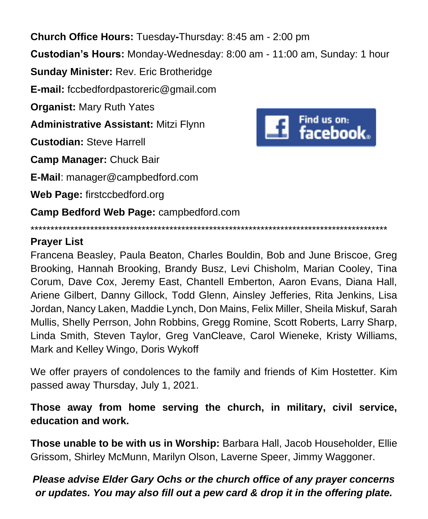**Church Office Hours:** Tuesday**-**Thursday: 8:45 am - 2:00 pm

**Custodian's Hours:** Monday-Wednesday: 8:00 am - 11:00 am, Sunday: 1 hour

**Sunday Minister:** Rev. Eric Brotheridge

**E-mail:** fccbedfordpastoreric@gmail.com

**Organist:** Mary Ruth Yates

**Administrative Assistant:** Mitzi Flynn

**Custodian:** Steve Harrell

**Camp Manager:** Chuck Bair

**E-Mail**: manager@campbedford.com

**Web Page:** firstccbedford.org

**Camp Bedford Web Page:** campbedford.com



**Prayer List**

Francena Beasley, Paula Beaton, Charles Bouldin, Bob and June Briscoe, Greg Brooking, Hannah Brooking, Brandy Busz, Levi Chisholm, Marian Cooley, Tina Corum, Dave Cox, Jeremy East, Chantell Emberton, Aaron Evans, Diana Hall, Ariene Gilbert, Danny Gillock, Todd Glenn, Ainsley Jefferies, Rita Jenkins, Lisa Jordan, Nancy Laken, Maddie Lynch, Don Mains, Felix Miller, Sheila Miskuf, Sarah Mullis, Shelly Perrson, John Robbins, Gregg Romine, Scott Roberts, Larry Sharp, Linda Smith, Steven Taylor, Greg VanCleave, Carol Wieneke, Kristy Williams, Mark and Kelley Wingo, Doris Wykoff

\*\*\*\*\*\*\*\*\*\*\*\*\*\*\*\*\*\*\*\*\*\*\*\*\*\*\*\*\*\*\*\*\*\*\*\*\*\*\*\*\*\*\*\*\*\*\*\*\*\*\*\*\*\*\*\*\*\*\*\*\*\*\*\*\*\*\*\*\*\*\*\*\*\*\*\*\*\*\*\*\*\*\*\*\*\*\*\*\*\*

We offer prayers of condolences to the family and friends of Kim Hostetter. Kim passed away Thursday, July 1, 2021.

**Those away from home serving the church, in military, civil service, education and work.**

**Those unable to be with us in Worship:** Barbara Hall, Jacob Householder, Ellie Grissom, Shirley McMunn, Marilyn Olson, Laverne Speer, Jimmy Waggoner.

*Please advise Elder Gary Ochs or the church office of any prayer concerns or updates. You may also fill out a pew card & drop it in the offering plate.*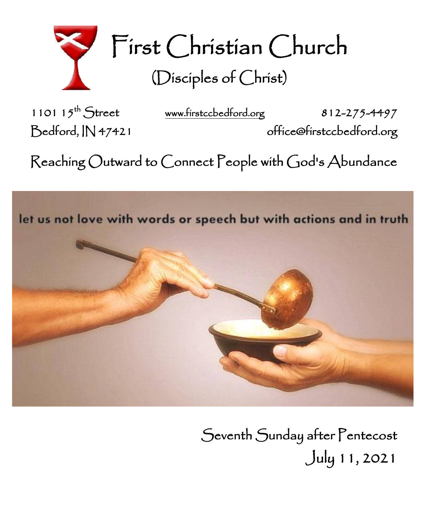

First Christian Church (Disciples of Christ)

1101  $15^{th}$  Street

[www.firstccbedford.org](http://www.firstccbedford.org/) 812-275-4497 Bedford, IN 47421 office@firstccbedford.org

 $\sf Reaching~Outward$  to  $\sf C$ onnect  $\sf People$  with  $\sf God$ 's  $\sf Abundance$ 





Seventh Sunday after Pentecost July 11, 2021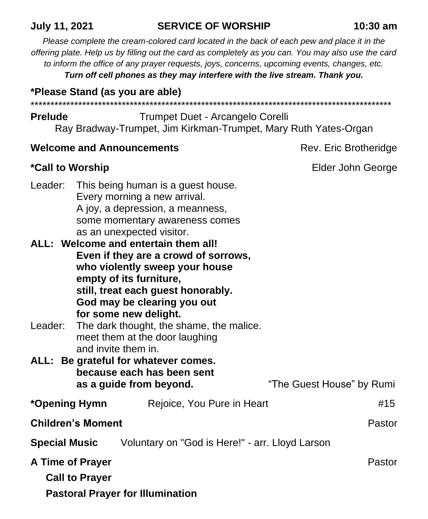### **July 11, 2021 SERVICE OF WORSHIP 10:30 am**

*Please complete the cream-colored card located in the back of each pew and place it in the offering plate. Help us by filling out the card as completely as you can. You may also use the card to inform the office of any prayer requests, joys, concerns, upcoming events, changes, etc. Turn off cell phones as they may interfere with the live stream. Thank you.*

## **\*Please Stand (as you are able)**

\*\*\*\*\*\*\*\*\*\*\*\*\*\*\*\*\*\*\*\*\*\*\*\*\*\*\*\*\*\*\*\*\*\*\*\*\*\*\*\*\*\*\*\*\*\*\*\*\*\*\*\*\*\*\*\*\*\*\*\*\*\*\*\*\*\*\*\*\*\*\*\*\*\*\*\*\*\*\*\*\*\*\*\*\*\*\*\*\*\*\*

## **Prelude Trumpet Duet - Arcangelo Corelli** Ray Bradway-Trumpet, Jim Kirkman-Trumpet, Mary Ruth Yates-Organ

## **Welcome and Announcements Rev. Eric Brotheridge** Rev. Eric Brotheridge

# \*Call to Worship **Elder John George**

| Leader: This being human is a guest house. |
|--------------------------------------------|
| Every morning a new arrival.               |
| A joy, a depression, a meanness,           |
| some momentary awareness comes             |
| as an unexpected visitor.                  |
|                                            |

- **ALL: Welcome and entertain them all! Even if they are a crowd of sorrows, who violently sweep your house empty of its furniture, still, treat each guest honorably. God may be clearing you out for some new delight.**
- Leader: The dark thought, the shame, the malice. meet them at the door laughing and invite them in.
- **ALL: Be grateful for whatever comes. because each has been sent as a guide from beyond.** "The Guest House" by Rumi
- **\*Opening Hymn** Rejoice, You Pure in Heart #15 **Children's Moment Pastor**
- **Special Music** Voluntary on "God is Here!" arr. Lloyd Larson

| A Time of Prayer                        | Pastor |
|-----------------------------------------|--------|
| <b>Call to Prayer</b>                   |        |
| <b>Pastoral Prayer for Illumination</b> |        |